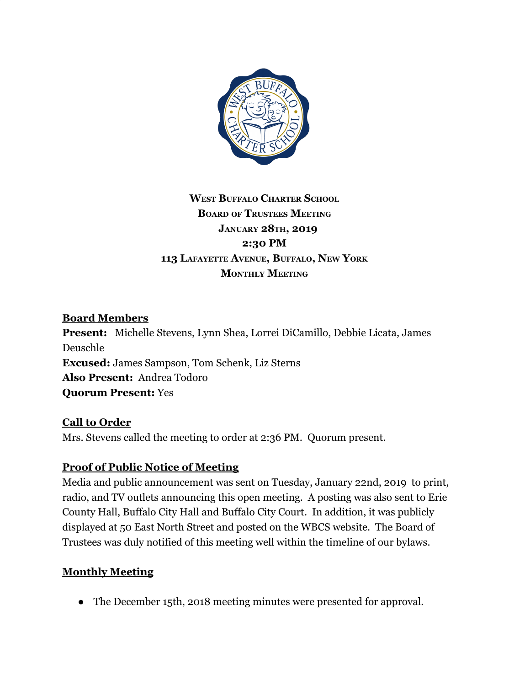

# **WEST BUFFALO CHARTER SCHOOL BOARD OF TRUSTEES MEETING JANUARY 28TH, 2019 2:30 PM 113 LAFAYETTE AVENUE, BUFFALO, NEW YORK MONTHLY MEETING**

### **Board Members**

**Present:** Michelle Stevens, Lynn Shea, Lorrei DiCamillo, Debbie Licata, James Deuschle **Excused:** James Sampson, Tom Schenk, Liz Sterns **Also Present:** Andrea Todoro **Quorum Present:** Yes

#### **Call to Order**

Mrs. Stevens called the meeting to order at 2:36 PM. Quorum present.

### **Proof of Public Notice of Meeting**

Media and public announcement was sent on Tuesday, January 22nd, 2019 to print, radio, and TV outlets announcing this open meeting. A posting was also sent to Erie County Hall, Buffalo City Hall and Buffalo City Court. In addition, it was publicly displayed at 50 East North Street and posted on the WBCS website. The Board of Trustees was duly notified of this meeting well within the timeline of our bylaws.

### **Monthly Meeting**

• The December 15th, 2018 meeting minutes were presented for approval.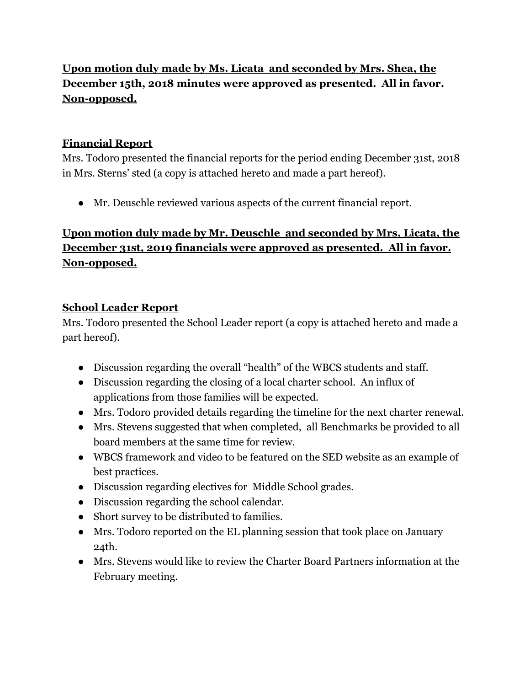# **Upon motion duly made by Ms. Licata and seconded by Mrs. Shea, the December 15th, 2018 minutes were approved as presented. All in favor. Non-opposed.**

## **Financial Report**

Mrs. Todoro presented the financial reports for the period ending December 31st, 2018 in Mrs. Sterns' sted (a copy is attached hereto and made a part hereof).

● Mr. Deuschle reviewed various aspects of the current financial report.

# **Upon motion duly made by Mr. Deuschle and seconded by Mrs. Licata, the December 31st, 2019 financials were approved as presented. All in favor. Non-opposed.**

### **School Leader Report**

Mrs. Todoro presented the School Leader report (a copy is attached hereto and made a part hereof).

- Discussion regarding the overall "health" of the WBCS students and staff.
- Discussion regarding the closing of a local charter school. An influx of applications from those families will be expected.
- Mrs. Todoro provided details regarding the timeline for the next charter renewal.
- Mrs. Stevens suggested that when completed, all Benchmarks be provided to all board members at the same time for review.
- WBCS framework and video to be featured on the SED website as an example of best practices.
- Discussion regarding electives for Middle School grades.
- Discussion regarding the school calendar.
- Short survey to be distributed to families.
- Mrs. Todoro reported on the EL planning session that took place on January 24th.
- Mrs. Stevens would like to review the Charter Board Partners information at the February meeting.